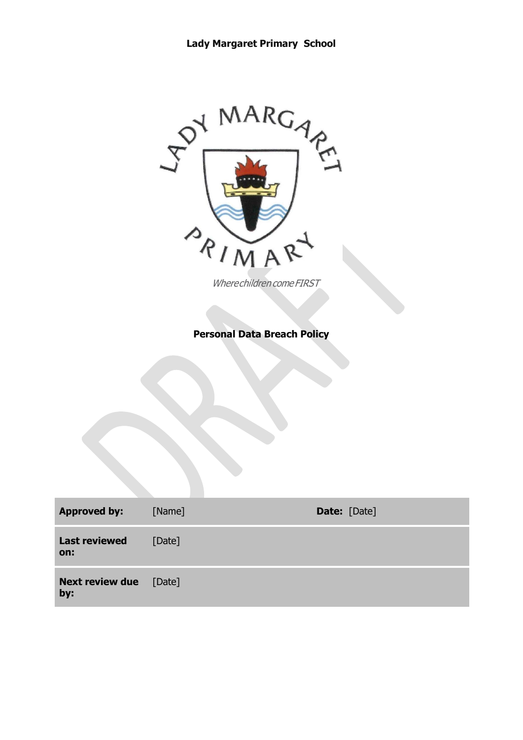

Wherechildren come FIRST

# **Personal Data Breach Policy**

| <b>Approved by:</b>                  | [Name] | <b>Date:</b> [Date] |
|--------------------------------------|--------|---------------------|
| <b>Last reviewed</b><br>on:          | [Date] |                     |
| <b>Next review due</b> [Date]<br>by: |        |                     |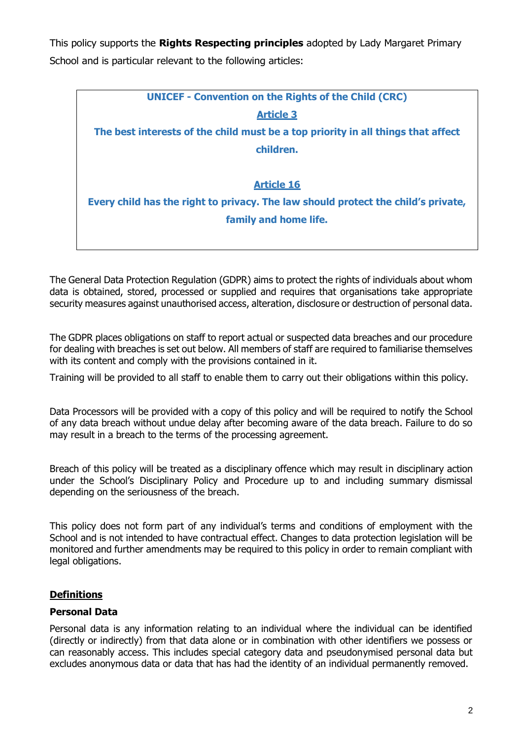This policy supports the **Rights Respecting principles** adopted by Lady Margaret Primary School and is particular relevant to the following articles:



The General Data Protection Regulation (GDPR) aims to protect the rights of individuals about whom data is obtained, stored, processed or supplied and requires that organisations take appropriate security measures against unauthorised access, alteration, disclosure or destruction of personal data.

The GDPR places obligations on staff to report actual or suspected data breaches and our procedure for dealing with breaches is set out below. All members of staff are required to familiarise themselves with its content and comply with the provisions contained in it.

Training will be provided to all staff to enable them to carry out their obligations within this policy.

Data Processors will be provided with a copy of this policy and will be required to notify the School of any data breach without undue delay after becoming aware of the data breach. Failure to do so may result in a breach to the terms of the processing agreement.

Breach of this policy will be treated as a disciplinary offence which may result in disciplinary action under the School's Disciplinary Policy and Procedure up to and including summary dismissal depending on the seriousness of the breach.

This policy does not form part of any individual's terms and conditions of employment with the School and is not intended to have contractual effect. Changes to data protection legislation will be monitored and further amendments may be required to this policy in order to remain compliant with legal obligations.

#### **Definitions**

#### **Personal Data**

Personal data is any information relating to an individual where the individual can be identified (directly or indirectly) from that data alone or in combination with other identifiers we possess or can reasonably access. This includes special category data and pseudonymised personal data but excludes anonymous data or data that has had the identity of an individual permanently removed.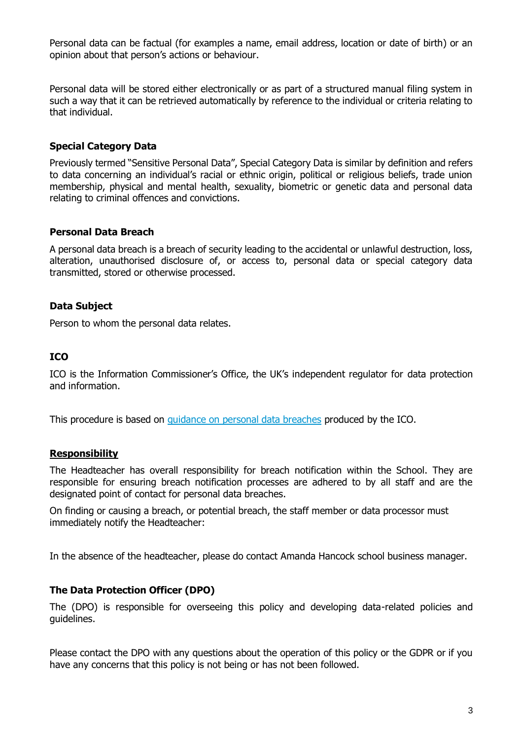Personal data can be factual (for examples a name, email address, location or date of birth) or an opinion about that person's actions or behaviour.

Personal data will be stored either electronically or as part of a structured manual filing system in such a way that it can be retrieved automatically by reference to the individual or criteria relating to that individual.

#### **Special Category Data**

Previously termed "Sensitive Personal Data", Special Category Data is similar by definition and refers to data concerning an individual's racial or ethnic origin, political or religious beliefs, trade union membership, physical and mental health, sexuality, biometric or genetic data and personal data relating to criminal offences and convictions.

#### **Personal Data Breach**

A personal data breach is a breach of security leading to the accidental or unlawful destruction, loss, alteration, unauthorised disclosure of, or access to, personal data or special category data transmitted, stored or otherwise processed.

### **Data Subject**

Person to whom the personal data relates.

#### **ICO**

ICO is the Information Commissioner's Office, the UK's independent regulator for data protection and information.

This procedure is based on [guidance on personal data breaches](https://ico.org.uk/for-organisations/guide-to-the-general-data-protection-regulation-gdpr/personal-data-breaches/) produced by the ICO.

#### **Responsibility**

The Headteacher has overall responsibility for breach notification within the School. They are responsible for ensuring breach notification processes are adhered to by all staff and are the designated point of contact for personal data breaches.

On finding or causing a breach, or potential breach, the staff member or data processor must immediately notify the Headteacher:

In the absence of the headteacher, please do contact Amanda Hancock school business manager.

#### **The Data Protection Officer (DPO)**

The (DPO) is responsible for overseeing this policy and developing data-related policies and guidelines.

Please contact the DPO with any questions about the operation of this policy or the GDPR or if you have any concerns that this policy is not being or has not been followed.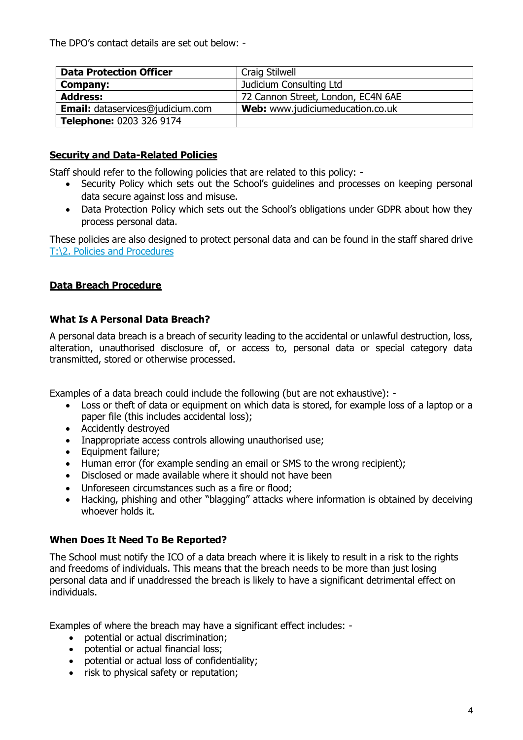The DPO's contact details are set out below: -

| <b>Data Protection Officer</b>          | Craig Stilwell                     |  |
|-----------------------------------------|------------------------------------|--|
| Company:                                | Judicium Consulting Ltd            |  |
| <b>Address:</b>                         | 72 Cannon Street, London, EC4N 6AE |  |
| <b>Email:</b> dataservices@judicium.com | Web: www.judiciumeducation.co.uk   |  |
| Telephone: 0203 326 9174                |                                    |  |

# **Security and Data-Related Policies**

Staff should refer to the following policies that are related to this policy: -

- Security Policy which sets out the School's guidelines and processes on keeping personal data secure against loss and misuse.
- Data Protection Policy which sets out the School's obligations under GDPR about how they process personal data.

These policies are also designed to protect personal data and can be found in the staff shared drive [T:\2. Policies and Procedures](file://///lm-cur-srv01/Staff_Shared$/2.%20Policies%20and%20Procedures)

# **Data Breach Procedure**

### **What Is A Personal Data Breach?**

A personal data breach is a breach of security leading to the accidental or unlawful destruction, loss, alteration, unauthorised disclosure of, or access to, personal data or special category data transmitted, stored or otherwise processed.

Examples of a data breach could include the following (but are not exhaustive): -

- Loss or theft of data or equipment on which data is stored, for example loss of a laptop or a paper file (this includes accidental loss);
- Accidently destroyed
- Inappropriate access controls allowing unauthorised use;
- Equipment failure;
- Human error (for example sending an email or SMS to the wrong recipient);
- Disclosed or made available where it should not have been
- Unforeseen circumstances such as a fire or flood;
- Hacking, phishing and other "blagging" attacks where information is obtained by deceiving whoever holds it.

#### **When Does It Need To Be Reported?**

The School must notify the ICO of a data breach where it is likely to result in a risk to the rights and freedoms of individuals. This means that the breach needs to be more than just losing personal data and if unaddressed the breach is likely to have a significant detrimental effect on individuals.

Examples of where the breach may have a significant effect includes: -

- potential or actual discrimination;
- potential or actual financial loss;
- potential or actual loss of confidentiality;
- risk to physical safety or reputation;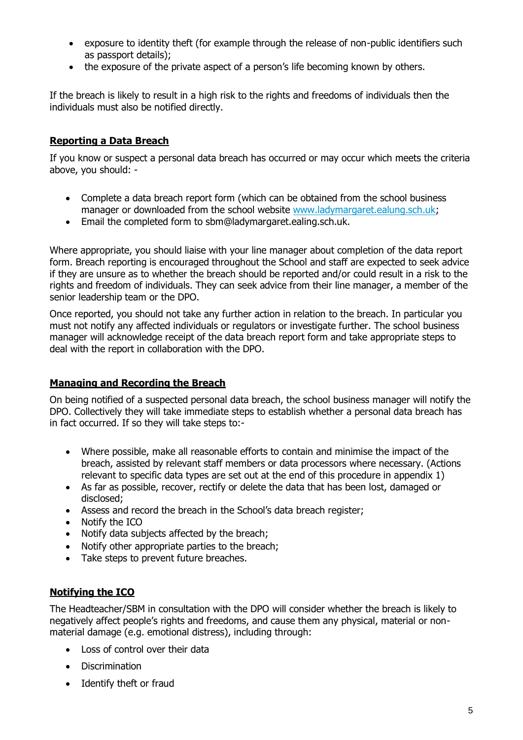- exposure to identity theft (for example through the release of non-public identifiers such as passport details);
- the exposure of the private aspect of a person's life becoming known by others.

If the breach is likely to result in a high risk to the rights and freedoms of individuals then the individuals must also be notified directly.

## **Reporting a Data Breach**

If you know or suspect a personal data breach has occurred or may occur which meets the criteria above, you should: -

- Complete a data breach report form (which can be obtained from the school business manager or downloaded from the school website [www.ladymargaret.ealung.sch.uk;](http://www.ladymargaret.ealung.sch.uk/)
- Email the completed form to sbm@ladymargaret.ealing.sch.uk.

Where appropriate, you should liaise with your line manager about completion of the data report form. Breach reporting is encouraged throughout the School and staff are expected to seek advice if they are unsure as to whether the breach should be reported and/or could result in a risk to the rights and freedom of individuals. They can seek advice from their line manager, a member of the senior leadership team or the DPO.

Once reported, you should not take any further action in relation to the breach. In particular you must not notify any affected individuals or regulators or investigate further. The school business manager will acknowledge receipt of the data breach report form and take appropriate steps to deal with the report in collaboration with the DPO.

#### **Managing and Recording the Breach**

On being notified of a suspected personal data breach, the school business manager will notify the DPO. Collectively they will take immediate steps to establish whether a personal data breach has in fact occurred. If so they will take steps to:-

- Where possible, make all reasonable efforts to contain and minimise the impact of the breach, assisted by relevant staff members or data processors where necessary. (Actions relevant to specific data types are set out at the end of this procedure in appendix 1)
- As far as possible, recover, rectify or delete the data that has been lost, damaged or disclosed;
- Assess and record the breach in the School's data breach register;
- Notify the ICO
- Notify data subjects affected by the breach:
- Notify other appropriate parties to the breach;
- Take steps to prevent future breaches.

#### **Notifying the ICO**

The Headteacher/SBM in consultation with the DPO will consider whether the breach is likely to negatively affect people's rights and freedoms, and cause them any physical, material or nonmaterial damage (e.g. emotional distress), including through:

- Loss of control over their data
- Discrimination
- Identify theft or fraud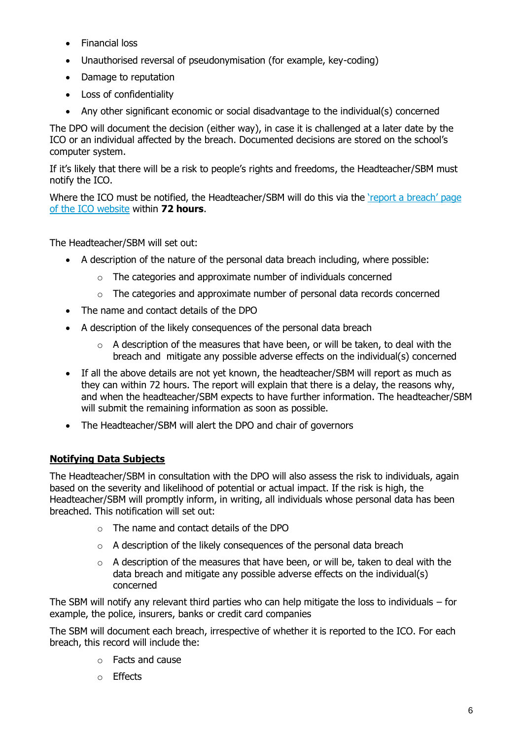- Financial loss
- Unauthorised reversal of pseudonymisation (for example, key-coding)
- Damage to reputation
- Loss of confidentiality
- Any other significant economic or social disadvantage to the individual(s) concerned

The DPO will document the decision (either way), in case it is challenged at a later date by the ICO or an individual affected by the breach. Documented decisions are stored on the school's computer system.

If it's likely that there will be a risk to people's rights and freedoms, the Headteacher/SBM must notify the ICO.

Where the ICO must be notified, the Headteacher/SBM will do this via the 'report a breach' page [of the ICO website](https://ico.org.uk/for-organisations/report-a-breach/) within **72 hours**.

The Headteacher/SBM will set out:

- A description of the nature of the personal data breach including, where possible:
	- o The categories and approximate number of individuals concerned
	- $\circ$  The categories and approximate number of personal data records concerned
- The name and contact details of the DPO
- A description of the likely consequences of the personal data breach
	- $\circ$  A description of the measures that have been, or will be taken, to deal with the breach and mitigate any possible adverse effects on the individual(s) concerned
- If all the above details are not yet known, the headteacher/SBM will report as much as they can within 72 hours. The report will explain that there is a delay, the reasons why, and when the headteacher/SBM expects to have further information. The headteacher/SBM will submit the remaining information as soon as possible.
- The Headteacher/SBM will alert the DPO and chair of governors

# **Notifying Data Subjects**

The Headteacher/SBM in consultation with the DPO will also assess the risk to individuals, again based on the severity and likelihood of potential or actual impact. If the risk is high, the Headteacher/SBM will promptly inform, in writing, all individuals whose personal data has been breached. This notification will set out:

- o The name and contact details of the DPO
- $\circ$  A description of the likely consequences of the personal data breach
- $\circ$  A description of the measures that have been, or will be, taken to deal with the data breach and mitigate any possible adverse effects on the individual(s) concerned

The SBM will notify any relevant third parties who can help mitigate the loss to individuals – for example, the police, insurers, banks or credit card companies

The SBM will document each breach, irrespective of whether it is reported to the ICO. For each breach, this record will include the:

- o Facts and cause
- o Effects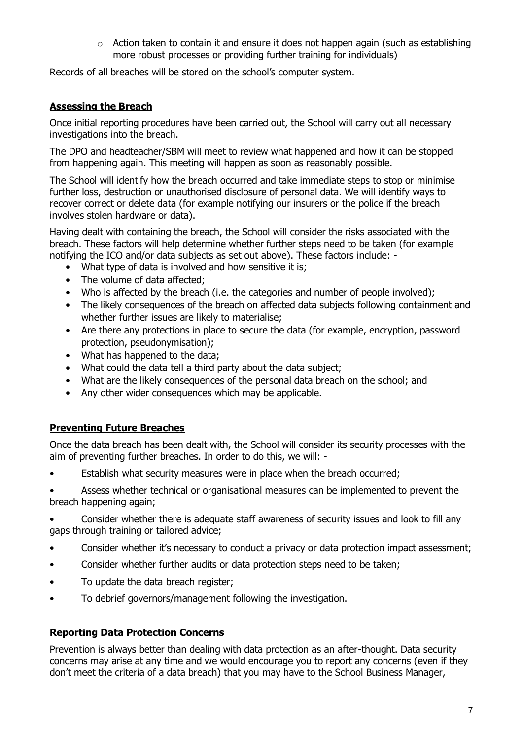o Action taken to contain it and ensure it does not happen again (such as establishing more robust processes or providing further training for individuals)

Records of all breaches will be stored on the school's computer system.

# **Assessing the Breach**

Once initial reporting procedures have been carried out, the School will carry out all necessary investigations into the breach.

The DPO and headteacher/SBM will meet to review what happened and how it can be stopped from happening again. This meeting will happen as soon as reasonably possible.

The School will identify how the breach occurred and take immediate steps to stop or minimise further loss, destruction or unauthorised disclosure of personal data. We will identify ways to recover correct or delete data (for example notifying our insurers or the police if the breach involves stolen hardware or data).

Having dealt with containing the breach, the School will consider the risks associated with the breach. These factors will help determine whether further steps need to be taken (for example notifying the ICO and/or data subjects as set out above). These factors include: -

- What type of data is involved and how sensitive it is;
- The volume of data affected:
- Who is affected by the breach (i.e. the categories and number of people involved);
- The likely consequences of the breach on affected data subjects following containment and whether further issues are likely to materialise;
- Are there any protections in place to secure the data (for example, encryption, password protection, pseudonymisation);
- What has happened to the data;
- What could the data tell a third party about the data subject;
- What are the likely consequences of the personal data breach on the school; and
- Any other wider consequences which may be applicable.

# **Preventing Future Breaches**

Once the data breach has been dealt with, the School will consider its security processes with the aim of preventing further breaches. In order to do this, we will: -

Establish what security measures were in place when the breach occurred;

Assess whether technical or organisational measures can be implemented to prevent the breach happening again;

- Consider whether there is adequate staff awareness of security issues and look to fill any gaps through training or tailored advice;
- Consider whether it's necessary to conduct a privacy or data protection impact assessment;
- Consider whether further audits or data protection steps need to be taken;
- To update the data breach register;
- To debrief governors/management following the investigation.

# **Reporting Data Protection Concerns**

Prevention is always better than dealing with data protection as an after-thought. Data security concerns may arise at any time and we would encourage you to report any concerns (even if they don't meet the criteria of a data breach) that you may have to the School Business Manager,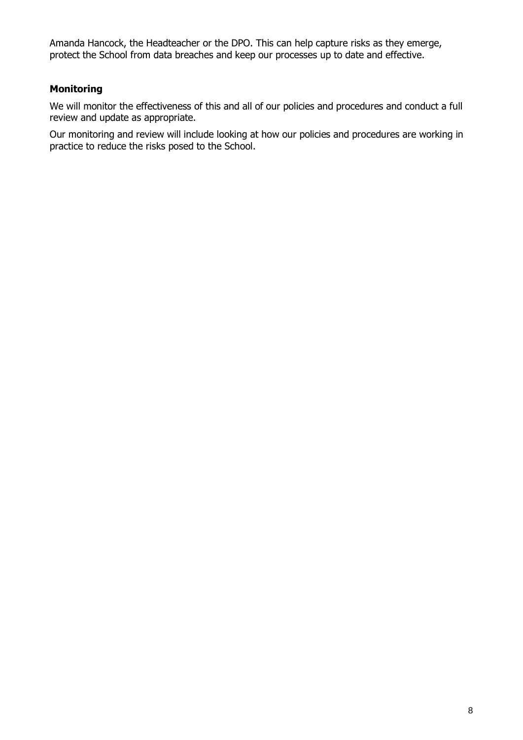Amanda Hancock, the Headteacher or the DPO. This can help capture risks as they emerge, protect the School from data breaches and keep our processes up to date and effective.

# **Monitoring**

We will monitor the effectiveness of this and all of our policies and procedures and conduct a full review and update as appropriate.

Our monitoring and review will include looking at how our policies and procedures are working in practice to reduce the risks posed to the School.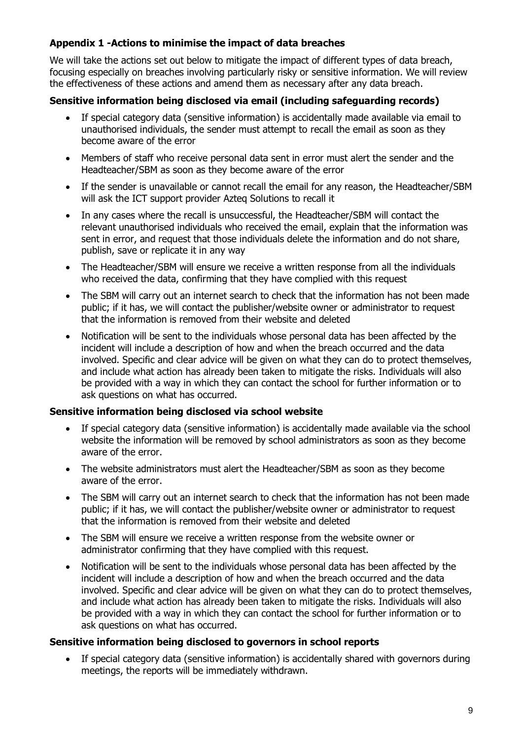### **Appendix 1 -Actions to minimise the impact of data breaches**

We will take the actions set out below to mitigate the impact of different types of data breach, focusing especially on breaches involving particularly risky or sensitive information. We will review the effectiveness of these actions and amend them as necessary after any data breach.

#### **Sensitive information being disclosed via email (including safeguarding records)**

- If special category data (sensitive information) is accidentally made available via email to unauthorised individuals, the sender must attempt to recall the email as soon as they become aware of the error
- Members of staff who receive personal data sent in error must alert the sender and the Headteacher/SBM as soon as they become aware of the error
- If the sender is unavailable or cannot recall the email for any reason, the Headteacher/SBM will ask the ICT support provider Azteq Solutions to recall it
- In any cases where the recall is unsuccessful, the Headteacher/SBM will contact the relevant unauthorised individuals who received the email, explain that the information was sent in error, and request that those individuals delete the information and do not share, publish, save or replicate it in any way
- The Headteacher/SBM will ensure we receive a written response from all the individuals who received the data, confirming that they have complied with this request
- The SBM will carry out an internet search to check that the information has not been made public; if it has, we will contact the publisher/website owner or administrator to request that the information is removed from their website and deleted
- Notification will be sent to the individuals whose personal data has been affected by the incident will include a description of how and when the breach occurred and the data involved. Specific and clear advice will be given on what they can do to protect themselves, and include what action has already been taken to mitigate the risks. Individuals will also be provided with a way in which they can contact the school for further information or to ask questions on what has occurred.

#### **Sensitive information being disclosed via school website**

- If special category data (sensitive information) is accidentally made available via the school website the information will be removed by school administrators as soon as they become aware of the error.
- The website administrators must alert the Headteacher/SBM as soon as they become aware of the error.
- The SBM will carry out an internet search to check that the information has not been made public; if it has, we will contact the publisher/website owner or administrator to request that the information is removed from their website and deleted
- The SBM will ensure we receive a written response from the website owner or administrator confirming that they have complied with this request.
- Notification will be sent to the individuals whose personal data has been affected by the incident will include a description of how and when the breach occurred and the data involved. Specific and clear advice will be given on what they can do to protect themselves, and include what action has already been taken to mitigate the risks. Individuals will also be provided with a way in which they can contact the school for further information or to ask questions on what has occurred.

#### **Sensitive information being disclosed to governors in school reports**

 If special category data (sensitive information) is accidentally shared with governors during meetings, the reports will be immediately withdrawn.